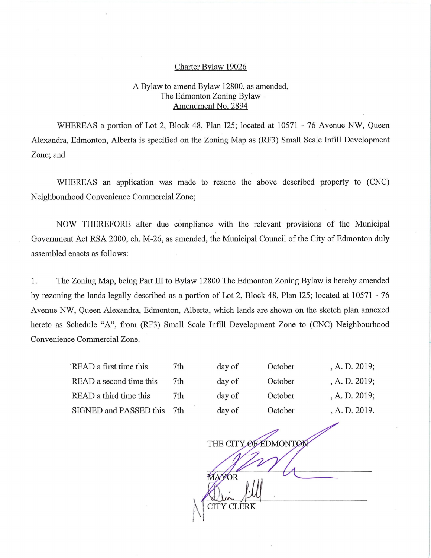## Charter Bylaw 19026

## A Bylaw to amend Bylaw 12800, as amended, The Edmonton Zoning Bylaw. Amendment No. 2894

WHEREAS a portion of Lot 2, Block 48, Plan 125; located at 10571 - 76 Avenue NW, Queen Alexandra, Edmonton, Alberta is specified on the Zoning Map as (RF3) Small Scale Infill Development Zone; and

WHEREAS an application was made to rezone the above described property to (CNC) Neighbourhood Convenience Commercial Zone;

NOW THEREFORE after due compliance with the relevant provisions of the Municipal Government Act RSA 2000, ch. M-26, as amended, the Municipal Council of the City of Edmonton duly assembled enacts as follows:

1. The Zoning Map, being Part III to Bylaw 12800 The Edmonton Zoning Bylaw is hereby amended by rezoning the lands legally described as a portion of Lot 2, Block 48, Plan 125; located at 10571 - 76 Avenue NW, Queen Alexandra, Edmonton, Alberta, which lands are shown on the sketch plan annexed hereto as Schedule "A", from (RF3) Small Scale Infill Development Zone to (CNC) Neighbourhood Convenience Commercial Zone.

| READ a first time this        | 7th | day of       | October | , A. D. 2019; |
|-------------------------------|-----|--------------|---------|---------------|
| READ a second time this       | 7th | day of       | October | , A. D. 2019; |
| READ a third time this        | 7th | day of       | October | , A. D. 2019; |
| <b>SIGNED and PASSED this</b> | 7th | day of       | October | , A. D. 2019. |
|                               |     |              |         |               |
| THE CITY OF EDMONTON          |     |              |         |               |
|                               |     |              |         |               |
|                               |     | <b>MAYOR</b> |         |               |
|                               |     |              |         |               |

I